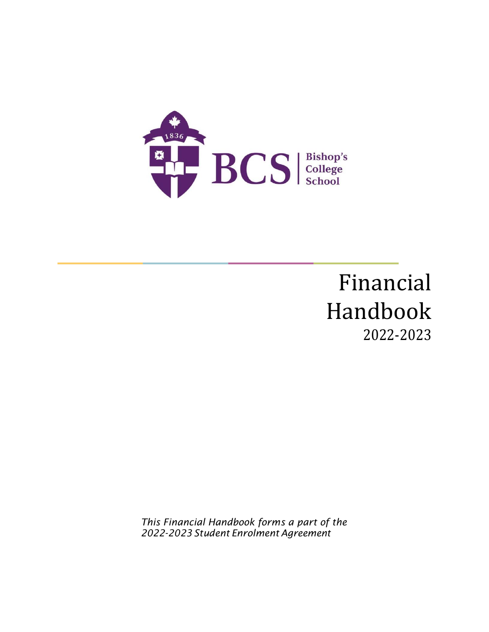

# Financial Handbook 2022-2023

*This Financial Handbook forms a part of the 2022-2023 Student Enrolment Agreement*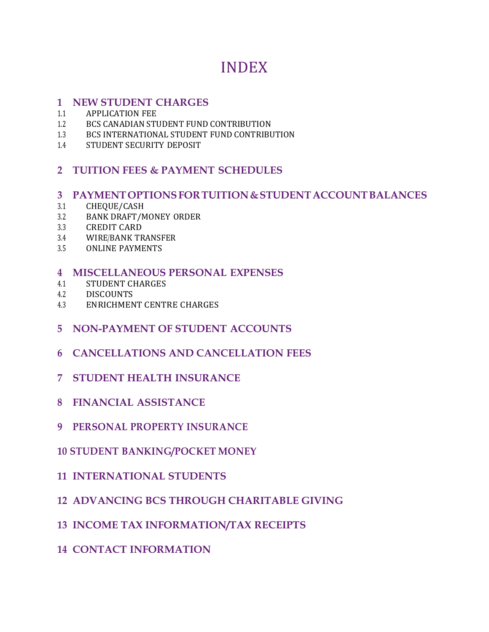## INDEX

#### **1 NEW STUDENT CHARGES**

- 1.1 APPLICATION FEE
- 1.2 BCS CANADIAN STUDENT FUND CONTRIBUTION
- 1.3 BCS INTERNATIONAL STUDENT FUND CONTRIBUTION
- 1.4 STUDENT SECURITY DEPOSIT

#### **2 TUITION FEES & PAYMENT SCHEDULES**

#### **3 PAYMENTOPTIONSFORTUITION&STUDENTACCOUNTBALANCES**

- 3.1 CHEQUE/CASH
- 3.2 BANK DRAFT/MONEY ORDER
- 3.3 CREDIT CARD
- 3.4 WIRE/BANK TRANSFER
- 3.5 ONLINE PAYMENTS

#### **4 MISCELLANEOUS PERSONAL EXPENSES**

- 4.1 STUDENT CHARGES
- 4.2 DISCOUNTS
- 4.3 ENRICHMENT CENTRE CHARGES
- **5 NON-PAYMENT OF STUDENT ACCOUNTS**
- **6 CANCELLATIONS AND CANCELLATION FEES**
- **7 STUDENT HEALTH INSURANCE**
- **8 FINANCIAL ASSISTANCE**
- **9 PERSONAL PROPERTY INSURANCE**
- **10 STUDENT BANKING/POCKET MONEY**
- **11 INTERNATIONAL STUDENTS**
- **12 ADVANCING BCS THROUGH CHARITABLE GIVING**
- **13 INCOME TAX INFORMATION/TAX RECEIPTS**
- **14 CONTACT INFORMATION**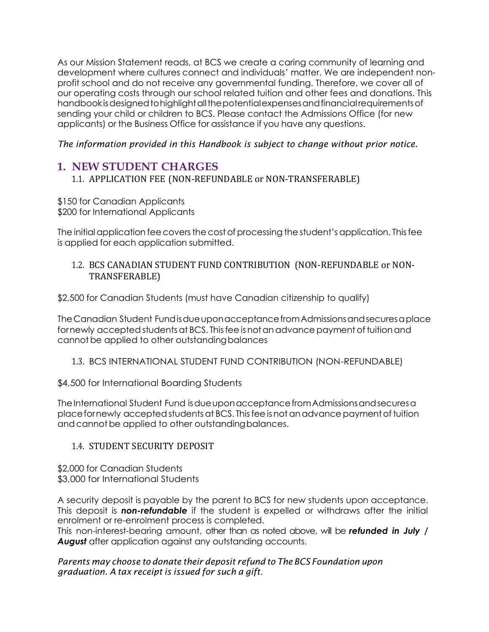As our Mission Statement reads, at BCS we create a caring community of learning and development where cultures connect and individuals' matter. We are independent nonprofit school and do not receive any governmental funding. Therefore, we cover all of our operating costs through our school related tuition and other fees and donations. This handbook is designed to highlight all the potential expenses and financial requirements of sending your child or children to BCS. Please contact the Admissions Office (for new applicants) or the Business Office for assistance if you have any questions.

*The information provided in this Handbook is subject to change without prior notice.*

## **1. NEW STUDENT CHARGES**

1.1. APPLICATION FEE (NON-REFUNDABLE or NON-TRANSFERABLE)

\$150 for Canadian Applicants \$200 for International Applicants

The initial application fee covers the cost of processing the student's application. This fee is applied for each application submitted.

#### 1.2. BCS CANADIAN STUDENT FUND CONTRIBUTION (NON-REFUNDABLE or NON-TRANSFERABLE)

\$2,500 for Canadian Students (must have Canadian citizenship to qualify)

TheCanadian Student FundisdueuponacceptancefromAdmissionsandsecuresaplace fornewly accepted students at BCS. This fee is not an advance payment of tuition and cannot be applied to other outstanding balances

#### 1.3. BCS INTERNATIONAL STUDENT FUND CONTRIBUTION (NON-REFUNDABLE)

\$4,500 for International Boarding Students

The International Student Fund is due upon acceptance from Admissions and secures a placefornewly acceptedstudentsat BCS. Thisfee is notanadvance payment oftuition and cannot be applied to other outstanding balances.

#### 1.4. STUDENT SECURITY DEPOSIT

\$2,000 for Canadian Students \$3,000 for International Students

A security deposit is payable by the parent to BCS for new students upon acceptance. This deposit is *non-refundable* if the student is expelled or withdraws after the initial enrolment or re-enrolment process is completed.

This non-interest-bearing amount, other than as noted above, will be *refunded in July /*  August after application against any outstanding accounts.

#### *Parents may choose to donate their deposit refund to The BCS Foundation upon graduation. A tax receipt is issued for such a gift*.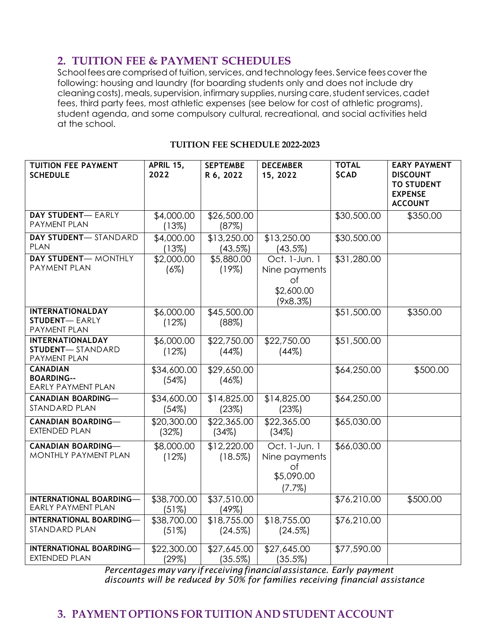## **2. TUITION FEE & PAYMENT SCHEDULES**

Schoolfees are comprised of tuition, services, and technology fees. Service fees cover the following: housing and laundry (for boarding students only and does not include dry cleaning costs), meals, supervision, infirmary supplies, nursing care, student services, cadet fees, third party fees, most athletic expenses (see below for cost of athletic programs), student agenda, and some compulsory cultural, recreational, and social activities held at the school.

#### **TUITION FEE SCHEDULE 2022-2023**

| TUITION FEE PAYMENT<br><b>SCHEDULE</b>                             | APRIL 15,<br>2022    | <b>SEPTEMBE</b><br>R 6, 2022 | <b>DECEMBER</b><br>15, 2022                                              | <b>TOTAL</b><br><b>SCAD</b> | <b>EARY PAYMENT</b><br><b>DISCOUNT</b><br><b>TO STUDENT</b><br><b>EXPENSE</b><br><b>ACCOUNT</b> |
|--------------------------------------------------------------------|----------------------|------------------------------|--------------------------------------------------------------------------|-----------------------------|-------------------------------------------------------------------------------------------------|
| <b>DAY STUDENT-EARLY</b><br>PAYMENT PLAN                           | \$4,000.00<br>(13%)  | \$26,500.00<br>(87%)         |                                                                          | \$30,500.00                 | \$350.00                                                                                        |
| <b>DAY STUDENT-STANDARD</b><br><b>PLAN</b>                         | \$4,000.00<br>(13%)  | \$13,250.00<br>$(43.5\%)$    | \$13,250.00<br>$(43.5\%)$                                                | \$30,500.00                 |                                                                                                 |
| <b>DAY STUDENT-MONTHLY</b><br>PAYMENT PLAN                         | \$2,000.00<br>(6%)   | \$5,880.00<br>(19%)          | Oct. 1-Jun. 1<br>Nine payments<br>$\circ$ f<br>\$2,600.00<br>$(9x8.3\%)$ | \$31,280.00                 |                                                                                                 |
| <b>INTERNATIONALDAY</b><br><b>STUDENT-EARLY</b><br>PAYMENT PLAN    | \$6,000.00<br>(12%)  | \$45,500.00<br>(88%)         |                                                                          | \$51,500.00                 | \$350.00                                                                                        |
| <b>INTERNATIONALDAY</b><br><b>STUDENT-STANDARD</b><br>PAYMENT PLAN | \$6,000.00<br>(12%)  | \$22,750.00<br>(44%)         | \$22,750.00<br>(44%)                                                     | \$51,500.00                 |                                                                                                 |
| <b>CANADIAN</b><br><b>BOARDING--</b><br><b>EARLY PAYMENT PLAN</b>  | \$34,600.00<br>(54%) | \$29,650.00<br>(46%)         |                                                                          | \$64,250.00                 | \$500.00                                                                                        |
| <b>CANADIAN BOARDING-</b><br>STANDARD PLAN                         | \$34,600.00<br>(54%) | \$14,825.00<br>(23%)         | \$14,825.00<br>(23%)                                                     | \$64,250.00                 |                                                                                                 |
| <b>CANADIAN BOARDING-</b><br><b>EXTENDED PLAN</b>                  | \$20,300.00<br>(32%) | \$22,365.00<br>(34%)         | \$22,365.00<br>(34%)                                                     | \$65,030.00                 |                                                                                                 |
| <b>CANADIAN BOARDING-</b><br>MONTHLY PAYMENT PLAN                  | \$8,000.00<br>(12%)  | \$12,220.00<br>(18.5%)       | Oct. 1-Jun. 1<br>Nine payments<br>of<br>\$5,090.00<br>$(7.7\%)$          | \$66,030.00                 |                                                                                                 |
| <b>INTERNATIONAL BOARDING-</b><br><b>EARLY PAYMENT PLAN</b>        | \$38,700.00<br>(51%) | \$37,510.00<br>(49%)         |                                                                          | \$76,210.00                 | \$500.00                                                                                        |
| INTERNATIONAL BOARDING-<br>STANDARD PLAN                           | \$38,700.00<br>(51%) | \$18,755.00<br>(24.5%)       | \$18,755.00<br>(24.5%)                                                   | \$76,210.00                 |                                                                                                 |
| <b>INTERNATIONAL BOARDING-</b><br><b>EXTENDED PLAN</b>             | \$22,300.00<br>(29%) | \$27,645.00<br>$(35.5\%)$    | \$27,645.00<br>(35.5%)                                                   | \$77,590.00                 |                                                                                                 |

*Percentagesmay vary if receivingfinancialassistance. Early payment discounts will be reduced by 50% for families receiving financial assistance*

## **3. PAYMENT OPTIONS FOR TUITION AND STUDENT ACCOUNT**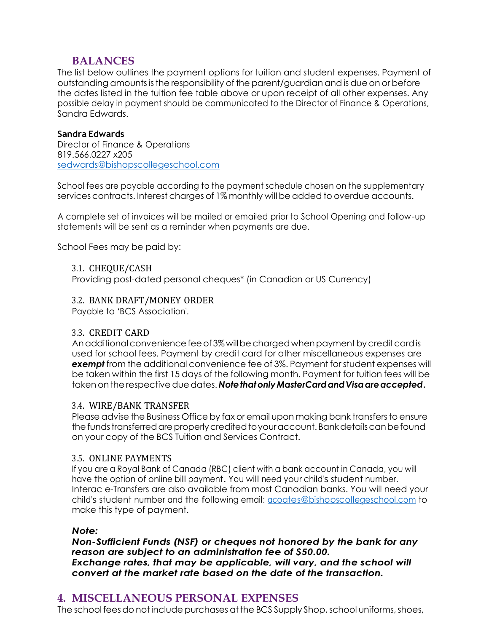### **BALANCES**

The list below outlines the payment options for tuition and student expenses. Payment of outstanding amountsisthe responsibility of the parent/guardian and is due on or before the dates listed in the tuition fee table above or upon receipt of all other expenses. Any possible delay in payment should be communicated to the Director of Finance & Operations, Sandra Edwards.

#### **Sandra Edwards**

Director of Finance & Operations 819.566.0227 x205 [sedwards@bishopscollegeschool.com](mailto:sedwards@bishopscollegeschool.com)

School fees are payable according to the payment schedule chosen on the supplementary services contracts. Interest charges of 1% monthly will be added to overdue accounts.

A complete set of invoices will be mailed or emailed prior to School Opening and follow-up statements will be sent as a reminder when payments are due.

School Fees may be paid by:

#### 3.1. CHEQUE/CASH

Providing post-dated personal cheques\* (in Canadian or US Currency)

#### 3.2. BANK DRAFT/MONEY ORDER

Payable to 'BCS Association'.

#### 3.3. CREDIT CARD

An additional convenience fee of 3% will be charged when payment by credit card is used for school fees. Payment by credit card for other miscellaneous expenses are *exempt* from the additional convenience fee of 3%. Payment for student expenses will be taken within the first 15 days of the following month. Payment for tuition fees will be takenon the respective duedates. *NotethatonlyMasterCardandVisaareaccepted.*

#### 3.4. WIRE/BANK TRANSFER

Please advise the Business Office by fax or email upon making bank transfers to ensure the funds transferred are properly credited to your account. Bank details can be found on your copy of the BCS Tuition and Services Contract.

#### 3.5. ONLINE PAYMENTS

If you are a Royal Bank of Canada (RBC) client with a bank account in Canada, you will have the option of online bill payment. You will need your child's student number. Interac e-Transfers are also available from most Canadian banks. You will need your child's student number and the following email: [acoates@bishopscollegeschool.com](mailto:acoates@bishopscollegeschool.com) to make this type of payment.

#### *Note:*

*Non-Sufficient Funds (NSF) or cheques not honored by the bank for any reason are subject to an administration fee of \$50.00. Exchange rates, that may be applicable, will vary, and the school will convert at the market rate based on the date of the transaction.*

## **4. MISCELLANEOUS PERSONAL EXPENSES**

The school fees do not include purchases at the BCS Supply Shop, school uniforms, shoes,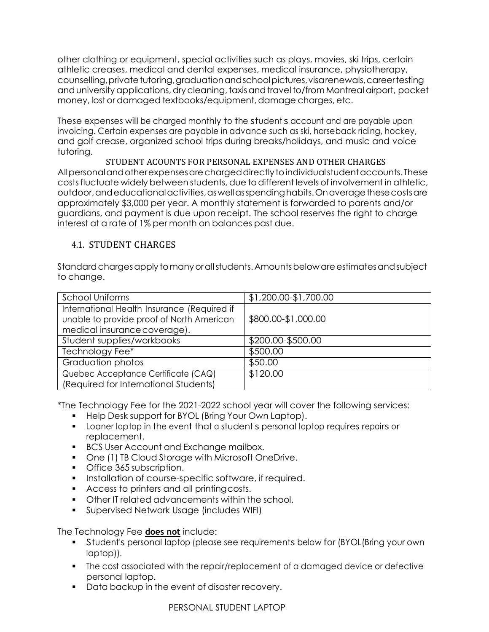other clothing or equipment, special activities such as plays, movies, ski trips, certain athletic creases, medical and dental expenses, medical insurance, physiotherapy, counselling, private tutoring, graduation and school pictures, visarenewals, careertesting and university applications, dry cleaning, taxis and travel to/from Montreal airport, pocket money, lost or damaged textbooks/equipment, damage charges, etc.

These expenses will be charged monthly to the student's account and are payable upon invoicing. Certain expenses are payable in advance such as ski, horseback riding, hockey, and golf crease, organized school trips during breaks/holidays, and music and voice tutoring.

STUDENT ACOUNTS FOR PERSONAL EXPENSES AND OTHER CHARGES Allpersonalandotherexpensesarechargeddirectlytoindividualstudentaccounts. These costs fluctuate widely between students, due to different levels of involvement in athletic, outdoor,andeducationalactivities,aswellasspendinghabits.Onaveragethesecostsare approximately \$3,000 per year. A monthly statement is forwarded to parents and/or guardians, and payment is due upon receipt. The school reserves the right to charge interest at a rate of 1% per month on balances past due.

#### 4.1. STUDENT CHARGES

Standard charges apply to many or all students. Amounts below are estimates and subject to change.

| <b>School Uniforms</b>                                                                                                   | \$1,200.00-\$1,700.00 |  |  |
|--------------------------------------------------------------------------------------------------------------------------|-----------------------|--|--|
| International Health Insurance (Required if<br>unable to provide proof of North American<br>medical insurance coverage). | \$800.00-\$1,000.00   |  |  |
| Student supplies/workbooks                                                                                               | \$200.00-\$500.00     |  |  |
| Technology Fee*                                                                                                          | \$500.00              |  |  |
| Graduation photos                                                                                                        | \$50.00               |  |  |
| Quebec Acceptance Certificate (CAQ)<br>(Required for International Students)                                             | \$120.00              |  |  |

\*The Technology Fee for the 2021-2022 school year will cover the following services:

- Help Desk support for BYOL (Bring Your Own Laptop).
- Loaner laptop in the event that <sup>a</sup> student's personal laptop requires repairs or replacement.
- BCS User Account and Exchange mailbox.
- One (1) TB Cloud Storage with Microsoft OneDrive.
- Office 365 subscription.
- **•** Installation of course-specific software, if required.
- Access to printers and all printing costs.
- **Other IT related advancements within the school.**
- **•** Supervised Network Usage (includes WIFI)

The Technology Fee **does not** include:

- Student's personal laptop (please see requirements below for (BYOL(Bring your own laptop)).
- The cost associated with the repair/replacement of a damaged device or defective personal laptop.
- Data backup in the event of disaster recovery.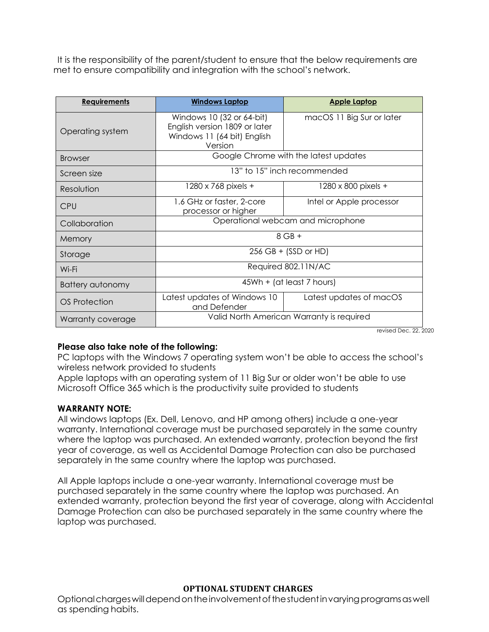It is the responsibility of the parent/student to ensure that the below requirements are met to ensure compatibility and integration with the school's network.

| <b>Requirements</b> | <b>Windows Laptop</b>                                                                                | <b>Apple Laptop</b>       |  |  |
|---------------------|------------------------------------------------------------------------------------------------------|---------------------------|--|--|
| Operating system    | Windows 10 (32 or 64-bit)<br>English version 1809 or later<br>Windows 11 (64 bit) English<br>Version | macOS 11 Big Sur or later |  |  |
| <b>Browser</b>      | Google Chrome with the latest updates                                                                |                           |  |  |
| Screen size         | 13" to 15" inch recommended                                                                          |                           |  |  |
| Resolution          | 1280 x 768 pixels +                                                                                  | 1280 x 800 pixels +       |  |  |
| <b>CPU</b>          | 1.6 GHz or faster, 2-core<br>processor or higher                                                     | Intel or Apple processor  |  |  |
| Collaboration       | Operational webcam and microphone                                                                    |                           |  |  |
| Memory              | $8$ GB +                                                                                             |                           |  |  |
| Storage             | $256$ GB + (SSD or HD)                                                                               |                           |  |  |
| Wi-Fi               | Required 802.11N/AC                                                                                  |                           |  |  |
| Battery autonomy    | 45Wh + (at least 7 hours)                                                                            |                           |  |  |
| OS Protection       | Latest updates of Windows 10<br>and Defender                                                         | Latest updates of macOS   |  |  |
| Warranty coverage   | Valid North American Warranty is required                                                            |                           |  |  |

revised Dec. 22, 2020

#### **Please also take note of the following:**

PC laptops with the Windows 7 operating system won't be able to access the school's wireless network provided to students

Apple laptops with an operating system of 11 Big Sur or older won't be able to use Microsoft Office 365 which is the productivity suite provided to students

#### **WARRANTY NOTE:**

All windows laptops (Ex. Dell, Lenovo, and HP among others) include a one-year warranty. International coverage must be purchased separately in the same country where the laptop was purchased. An extended warranty, protection beyond the first year of coverage, as well as Accidental Damage Protection can also be purchased separately in the same country where the laptop was purchased.

All Apple laptops include a one-year warranty. International coverage must be purchased separately in the same country where the laptop was purchased. An extended warranty, protection beyond the first year of coverage, along with Accidental Damage Protection can also be purchased separately in the same country where the laptop was purchased.

#### **OPTIONAL STUDENT CHARGES**

Optionalchargeswilldependontheinvolvementofthestudentinvaryingprogramsaswell as spending habits.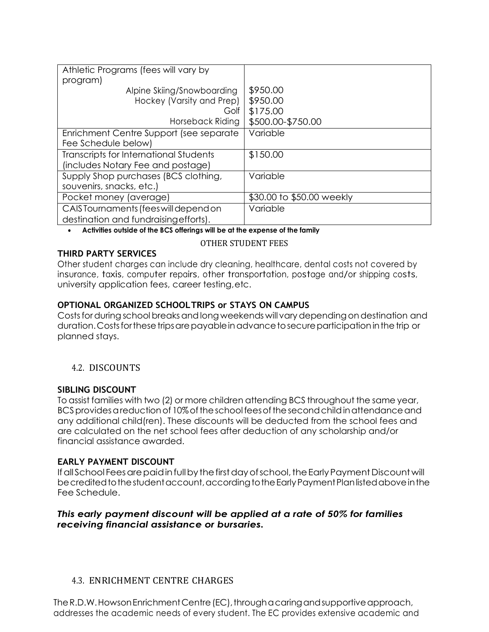| Athletic Programs (fees will vary by                                           |                           |  |
|--------------------------------------------------------------------------------|---------------------------|--|
| program)<br>Alpine Skiing/Snowboarding                                         | \$950.00                  |  |
| Hockey (Varsity and Prep)                                                      | \$950.00                  |  |
| Golf                                                                           | \$175.00                  |  |
| Horseback Riding                                                               | \$500.00-\$750.00         |  |
| Enrichment Centre Support (see separate                                        | Variable                  |  |
| Fee Schedule below)                                                            |                           |  |
| Transcripts for International Students<br>(includes Notary Fee and postage)    | \$150.00                  |  |
| Supply Shop purchases (BCS clothing,<br>souvenirs, snacks, etc.)               | Variable                  |  |
| Pocket money (average)                                                         | \$30.00 to \$50.00 weekly |  |
| CAIS Tournaments (fees will depend on<br>destination and fundraising efforts). | Variable                  |  |

• **Activities outside of the BCS offerings will be at the expense of the family**

#### **THIRD PARTY SERVICES**

#### OTHER STUDENT FEES

Other student charges can include dry cleaning, healthcare, dental costs not covered by insurance, taxis, computer repairs, other transportation, postage and/or shipping costs, university application fees, career testing,etc.

#### **OPTIONAL ORGANIZED SCHOOLTRIPS or STAYS ON CAMPUS**

Costs for during school breaks and long weekends will vary depending on destination and duration. Costs for these trips are payable in advance to secure participation in the trip or planned stays.

#### 4.2. DISCOUNTS

#### **SIBLING DISCOUNT**

To assist families with two (2) or more children attending BCS throughout the same year, BCS provides a reduction of 10% of the school fees of the second child in attendance and any additional child(ren). These discounts will be deducted from the school fees and are calculated on the net school fees after deduction of any scholarship and/or financial assistance awarded.

#### **EARLY PAYMENT DISCOUNT**

If all School Fees are paid in full by the first day of school, the Early Payment Discount will becreditedtothestudentaccount,accordingtotheEarlyPaymentPlanlistedaboveinthe Fee Schedule.

#### *This early payment discount will be applied at a rate of 50% for families receiving financial assistance or bursaries.*

#### 4.3. ENRICHMENT CENTRE CHARGES

The R.D.W. Howson Enrichment Centre (EC), through a caring and supportive approach, addresses the academic needs of every student. The EC provides extensive academic and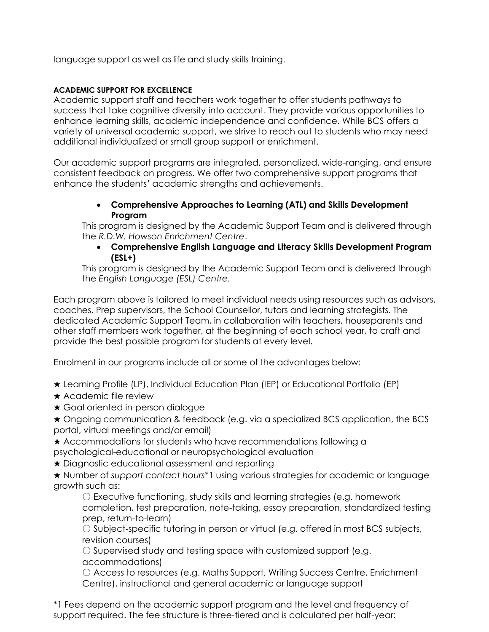language support as well as life and study skills training.

#### **ACADEMIC SUPPORT FOR EXCELLENCE**

Academic support staff and teachers work together to offer students pathways to success that take cognitive diversity into account. They provide various opportunities to enhance learning skills, academic independence and confidence. While BCS offers a variety of universal academic support, we strive to reach out to students who may need additional individualized or small group support or enrichment.

Our academic support programs are integrated, personalized, wide-ranging, and ensure consistent feedback on progress. We offer two comprehensive support programs that enhance the students' academic strengths and achievements.

#### • **Comprehensive Approaches to Learning (ATL) and Skills Development Program**

This program is designed by the Academic Support Team and is delivered through the *R.D.W. Howson Enrichment Centre*.

• **Comprehensive English Language and Literacy Skills Development Program (ESL+)**

This program is designed by the Academic Support Team and is delivered through the *English Language (ESL) Centre.*

Each program above is tailored to meet individual needs using resources such as advisors, coaches, Prep supervisors, the School Counsellor, tutors and learning strategists. The dedicated Academic Support Team, in collaboration with teachers, houseparents and other staff members work together, at the beginning of each school year, to craft and provide the best possible program for students at every level.

Enrolment in our programs include all or some of the advantages below:

★ Learning Profile (LP), Individual Education Plan (IEP) or Educational Portfolio (EP)

- **★ Academic file review**
- ★ Goal oriented in-person dialogue

★ Ongoing communication & feedback (e.g. via a specialized BCS application, the BCS portal, virtual meetings and/or email)

- ★ Accommodations for students who have recommendations following a psychological-educational or neuropsychological evaluation
- ★ Diagnostic educational assessment and reporting
- ★ Number of *support contact hours*\*1 using various strategies for academic or language growth such as:

○ Executive functioning, study skills and learning strategies (e.g. homework completion, test preparation, note-taking, essay preparation, standardized testing prep, return-to-learn)

○ Subject-specific tutoring in person or virtual (e.g. offered in most BCS subjects, revision courses)

○ Supervised study and testing space with customized support (e.g. accommodations)

○ Access to resources (e.g. Maths Support, Writing Success Centre, Enrichment Centre), instructional and general academic or language support

\*1 Fees depend on the academic support program and the level and frequency of support required. The fee structure is three-tiered and is calculated per half-year: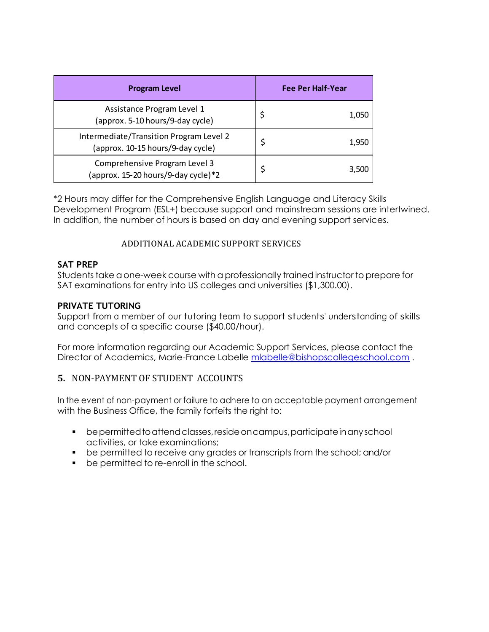| <b>Program Level</b>                                                         |  | <b>Fee Per Half-Year</b> |  |
|------------------------------------------------------------------------------|--|--------------------------|--|
| Assistance Program Level 1<br>(approx. 5-10 hours/9-day cycle)               |  | 1,050                    |  |
| Intermediate/Transition Program Level 2<br>(approx. 10-15 hours/9-day cycle) |  | 1,950                    |  |
| Comprehensive Program Level 3<br>(approx. 15-20 hours/9-day cycle)*2         |  | 3,500                    |  |

\*2 Hours may differ for the Comprehensive English Language and Literacy Skills Development Program (ESL+) because support and mainstream sessions are intertwined. In addition, the number of hours is based on day and evening support services.

#### ADDITIONAL ACADEMIC SUPPORT SERVICES

#### **SAT PREP**

Students take a one-week course with a professionally trained instructor to prepare for SAT examinations for entry into US colleges and universities (\$1,300.00).

#### **PRIVATE TUTORING**

Support from <sup>a</sup> member of our tutoring team to support students' understanding of skills and concepts of a specific course (\$40.00/hour).

For more information regarding our Academic Support Services, please contact the Director of Academics, Marie-France Labelle [mlabelle@bishopscollegeschool.com](mailto:mlabelle@bishopscollegeschool.com) .

#### **5.** NON-PAYMENT OF STUDENT ACCOUNTS

In the event of non-payment or failure to adhere to an acceptable payment arrangement with the Business Office, the family forfeits the right to:

- bepermittedtoattendclasses,resideoncampus,participateinanyschool activities, or take examinations;
- be permitted to receive any grades or transcripts from the school; and/or
- be permitted to re-enroll in the school.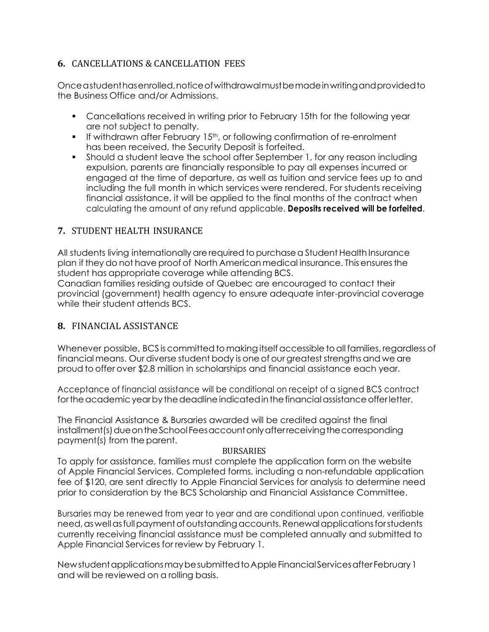#### **6.** CANCELLATIONS & CANCELLATION FEES

Onceastudenthasenrolled,noticeofwithdrawalmustbemadeinwritingandprovidedto the Business Office and/or Admissions.

- Cancellations received in writing prior to February 15th for the following year are not subject to penalty.
- $\bullet$  If withdrawn after February 15<sup>th</sup>, or following confirmation of re-enrolment has been received, the Security Deposit is forfeited.
- Should a student leave the school after September 1, for any reason including expulsion, parents are financially responsible to pay all expenses incurred or engaged at the time of departure, as well as tuition and service fees up to and including the full month in which services were rendered. For students receiving financial assistance, it will be applied to the final months of the contract when calculating the amount of any refund applicable. **Deposits received will be forfeited**.

#### **7.** STUDENT HEALTH INSURANCE

All students living internationally are required to purchase a Student Health Insurance plan if they do not have proof of North American medical insurance. Thisensuresthe student has appropriate coverage while attending BCS.

Canadian families residing outside of Quebec are encouraged to contact their provincial (government) health agency to ensure adequate inter-provincial coverage while their student attends BCS.

#### **8.** FINANCIAL ASSISTANCE

Whenever possible, BCS is committed to making itself accessible to all families, regardless of financial means. Our diverse student body is one of our greateststrengths and we are proud to offer over \$2.8 million in scholarships and financial assistance each year.

Acceptance of financial assistance will be conditional on receipt of a signed BCS contract for the academic year by the deadline indicated in the financial assistance offerletter.

The Financial Assistance & Bursaries awarded will be credited against the final installment(s) due on the School Fees account only afterreceiving the corresponding payment(s) from the parent.

#### BURSARIES

To apply for assistance, families must complete the application form on the website of Apple Financial Services. Completed forms, including a non-refundable application fee of \$120, are sent directly to Apple Financial Services for analysis to determine need prior to consideration by the BCS Scholarship and Financial Assistance Committee.

Bursaries may be renewed from year to year and are conditional upon continued, verifiable need, as well as full payment of outstanding accounts. Renewal applications for students currently receiving financial assistance must be completed annually and submitted to Apple Financial Services for review by February 1.

NewstudentapplicationsmaybesubmittedtoAppleFinancialServicesafterFebruary1 and will be reviewed on a rolling basis.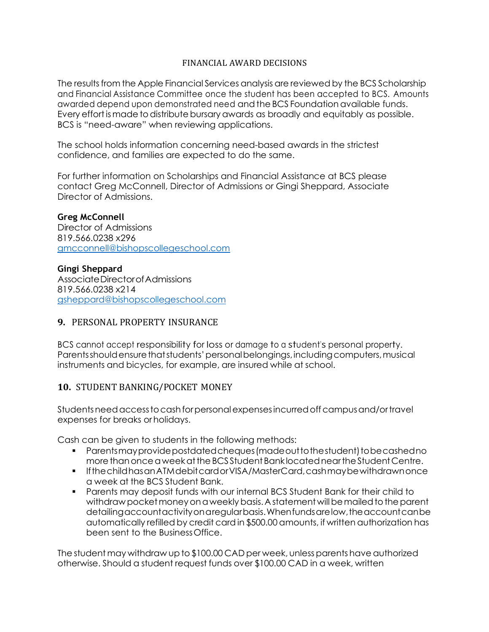#### FINANCIAL AWARD DECISIONS

The results from the Apple Financial Services analysis are reviewed by the BCS Scholarship and Financial Assistance Committee once the student has been accepted to BCS. Amounts awarded depend upon demonstrated need and the BCS Foundation available funds. Every effort is made to distribute bursary awards as broadly and equitably as possible. BCS is "need-aware" when reviewing applications.

The school holds information concerning need-based awards in the strictest confidence, and families are expected to do the same.

For further information on Scholarships and Financial Assistance at BCS please contact Greg McConnell, Director of Admissions or Gingi Sheppard, Associate Director of Admissions.

**Greg McConnell**  Director of Admissions 819.566.0238 x296 [gmcconnell@bishopscollegeschool.com](mailto:gmcconnell@bishopscollegeschool.com)

**Gingi Sheppard**

AssociateDirectorofAdmissions 819.566.0238 x214 [gsheppard@bishopscollegeschool.com](mailto:gsheppard@bishopscollegeschool.com)

#### **9.** PERSONAL PROPERTY INSURANCE

BCS cannot accept responsibility for loss or damage to <sup>a</sup> student's personal property. Parents should ensure that students' personal belongings, including computers, musical instruments and bicycles, for example, are insured while at school.

#### **10.** STUDENT BANKING/POCKET MONEY

Studentsneedaccesstocashforpersonalexpensesincurredoffcampusand/ortravel expenses for breaks orholidays.

Cash can be given to students in the following methods:

- Parentsmay provide postdated cheques (made out to the student) to be cashed no more than once a week at the BCS Student Bank located nearthe Student Centre.
- IfthechildhasanATMdebitcardorVISA/MasterCard,cashmaybewithdrawnonce a week at the BCS Student Bank.
- Parents may deposit funds with our internal BCS Student Bank for their child to withdraw pocket money on a weekly basis. A statement will be mailed to the parent detailingaccountactivityonaregularbasis.Whenfundsarelow,theaccountcanbe automatically refilled by credit card in \$500.00 amounts, if written authorization has been sent to the BusinessOffice.

The student may withdraw up to \$100.00 CAD per week, unless parents have authorized otherwise. Should a student request funds over \$100.00 CAD in a week, written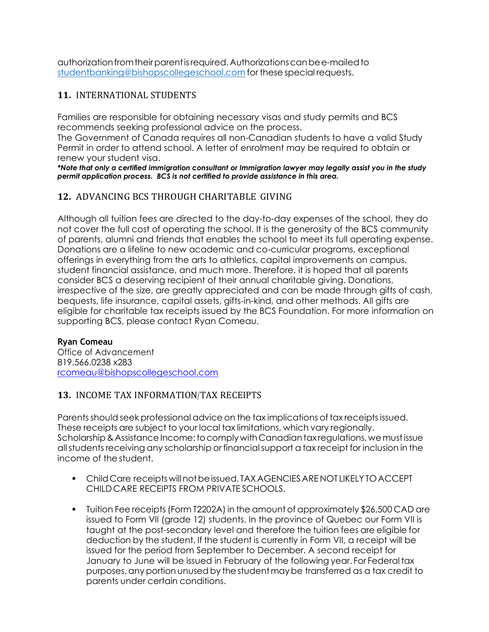authorizationfromtheirparentisrequired.Authorizationscanbee-mailedto [studentbanking@bishopscollegeschool.com](mailto:studentbanking@bishopscollegeschool.com) for these special requests.

#### **11.** INTERNATIONAL STUDENTS

Families are responsible for obtaining necessary visas and study permits and BCS recommends seeking professional advice on the process.

The Government of Canada requires all non-Canadian students to have a valid Study Permit in order to attend school. A letter of enrolment may be required to obtain or renew your student visa.

*\*Note that only a certified immigration consultant or Immigration lawyer may legally assist you in the study permit application process. BCS is not certified to provide assistance in this area.*

#### **12.** ADVANCING BCS THROUGH CHARITABLE GIVING

Although all tuition fees are directed to the day-to-day expenses of the school, they do not cover the full cost of operating the school. It is the generosity of the BCS community of parents, alumni and friends that enables the school to meet its full operating expense. Donations are a lifeline to new academic and co-curricular programs, exceptional offerings in everything from the arts to athletics, capital improvements on campus, student financial assistance, and much more. Therefore, it is hoped that all parents consider BCS a deserving recipient of their annual charitable giving. Donations, irrespective of the size, are greatly appreciated and can be made through gifts of cash, bequests, life insurance, capital assets, gifts-in-kind, and other methods. All gifts are eligible for charitable tax receipts issued by the BCS Foundation. For more information on supporting BCS, please contact Ryan Comeau.

#### **Ryan Comeau**

Office of Advancement 819.566.0238 x283 [rcomeau@bishopscollegeschool.com](mailto:rcomeau@bishopscollegeschool.com)

#### **13.** INCOME TAX INFORMATION/TAX RECEIPTS

Parents should seek professional advice on the tax implications of tax receipts issued. These receipts are subject to your local tax limitations, which vary regionally. Scholarship & Assistance Income: to comply with Canadian tax regulations, we must issue allstudents receiving any scholarship or financialsupport a tax receipt for inclusion in the income of the student.

- **Child Care receipts will not be issued. TAX AGENCIES ARE NOT LIKELY TO ACCEPT** CHILD CARE RECEIPTS FROM PRIVATE SCHOOLS.
- Tuition Fee receipts (Form T2202A) in the amount of approximately \$26,500 CAD are issued to Form VII (grade 12) students. In the province of Quebec our Form VII is taught at the post-secondary level and therefore the tuition fees are eligible for deduction by the student. If the student is currently in Form VII, a receipt will be issued for the period from September to December. A second receipt for January to June will be issued in February of the following year. For Federaltax purposes,any portion unusedby the studentmaybe transferred as a tax credit to parents under certain conditions.